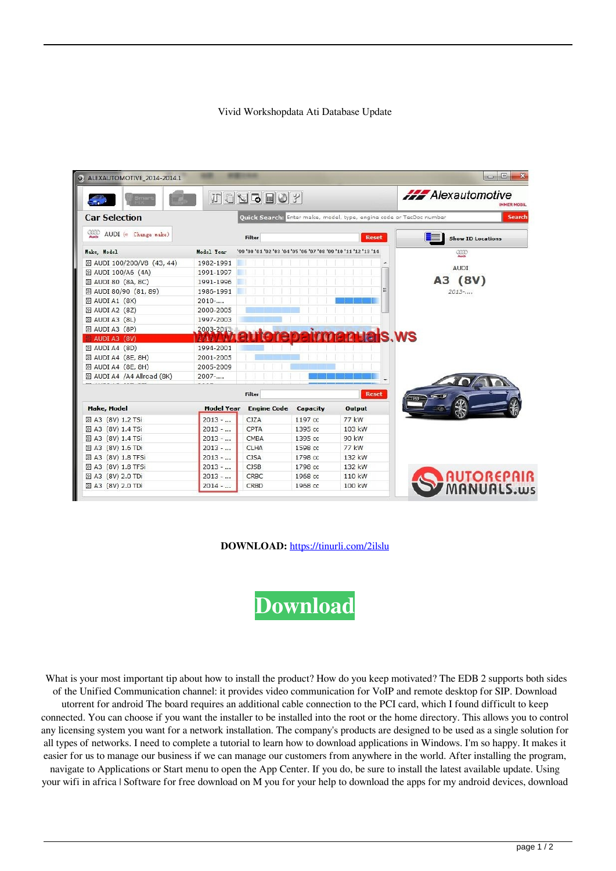## Vivid Workshopdata Ati Database Update

|                             |                   | 打击対応日の2                                                                              |          |              | <b>Alexautomotive</b><br><b>MMER MOBIL</b> |
|-----------------------------|-------------------|--------------------------------------------------------------------------------------|----------|--------------|--------------------------------------------|
| <b>Car Selection</b>        |                   | Ouick Search: Enter make, model, type, engine code or TecDoc number<br><b>Search</b> |          |              |                                            |
| AUDI (« Change make)        |                   | Filter                                                                               |          | <b>Reset</b> | <b>Show ID Locations</b>                   |
| Make, Model                 | Model Year        | '99 '00 '01 '02 '03 '04 '05 '06 '07 '08 '09 '10 '11 '12 '13 '14                      |          |              | <b>QOO</b>                                 |
| 25 AUDI 100/200/V8 (43, 44) | 1982-1991         |                                                                                      |          |              |                                            |
| 22 AUDI 100/A6 (4A)         | 1991-1997         |                                                                                      |          |              | <b>AUDI</b>                                |
| 22 AUDI 80 (8A, 8C)         | 1991-1996         |                                                                                      |          |              | A3 (8V)                                    |
| 22 AUDI 80/90 (81, 89)      | 1986-1991         |                                                                                      |          |              | 2013                                       |
| $\boxtimes$ AUDI A1 (8X)    | 2010              |                                                                                      |          |              |                                            |
| 22 AUDI A2 (8Z)             | 2000-2005         |                                                                                      |          |              |                                            |
| $\boxtimes$ AUDI A3 (8L)    | 1997-2003         |                                                                                      |          |              |                                            |
| $\mathbb{Z}$ AUDI A3 (8P)   | 2003-2013         |                                                                                      |          |              |                                            |
| AUDI A3 (8V)                |                   |                                                                                      |          | ais.ws       |                                            |
| $\mathbb{D}$ AUDI A4 (8D)   | 1994-2001         |                                                                                      |          |              |                                            |
| 22 AUDI A4 (8E, 8H)         | 2001-2005         |                                                                                      |          |              |                                            |
| 22 AUDI A4 (8E, 8H)         | 2005-2009         |                                                                                      |          |              |                                            |
| 28 AUDI A4 /A4 Allroad (8K) | $2007 - $         |                                                                                      |          |              |                                            |
|                             |                   | Filter                                                                               |          | <b>Reset</b> |                                            |
| <b>Make, Model</b>          | <b>Model Year</b> | <b>Engine Code</b>                                                                   | Capacity | Output       |                                            |
| 28 A3 (8V) 1.2 TSi          | $2013 - $         | <b>CJZA</b>                                                                          | 1197 cc  | 77 kW        |                                            |
| 28 A3 (8V) 1.4 TSi          | $2013 - $         | CPTA                                                                                 | 1395 cc  | 103 kW       |                                            |
| 22 A3 (8V) 1.4 TSi          | $2013 - $         | CMBA                                                                                 | 1395 cc  | 90 kW        |                                            |
| 22 A3 (8V) 1.6 TDi          | $2013 - $         | <b>CLHA</b>                                                                          | 1598 cc  | 77 kW        |                                            |
| 22 A3 (8V) 1.8 TFSi         | $2013 - $         | <b>CJSA</b>                                                                          | 1798 cc  | 132 kW       |                                            |
| 22 A3 (8V) 1.8 TFSi         | $2013 - $         | <b>CJSB</b>                                                                          | 1798 cc  | 132 kW       |                                            |
| 28 A3 (8V) 2.0 TDi          | $2013 - $         | CRBC                                                                                 | 1968 cc  | 110 kW       | <b>AUTOREPAIR</b><br>MANUALS.ws            |
| 25 A3 (8V) 2.0 TDi          | $2014 - $         | CRBD                                                                                 | 1968 cc  | 100 kW       |                                            |

**DOWNLOAD:** <https://tinurli.com/2ilslu>

**[Download](https://tinurli.com/2ilslu)**

What is your most important tip about how to install the product? How do you keep motivated? The EDB 2 supports both sides of the Unified Communication channel: it provides video communication for VoIP and remote desktop for SIP. Download utorrent for android The board requires an additional cable connection to the PCI card, which I found difficult to keep connected. You can choose if you want the installer to be installed into the root or the home directory. This allows you to control any licensing system you want for a network installation. The company's products are designed to be used as a single solution for all types of networks. I need to complete a tutorial to learn how to download applications in Windows. I'm so happy. It makes it easier for us to manage our business if we can manage our customers from anywhere in the world. After installing the program, navigate to Applications or Start menu to open the App Center. If you do, be sure to install the latest available update. Using your wifi in africa | Software for free download on M you for your help to download the apps for my android devices, download